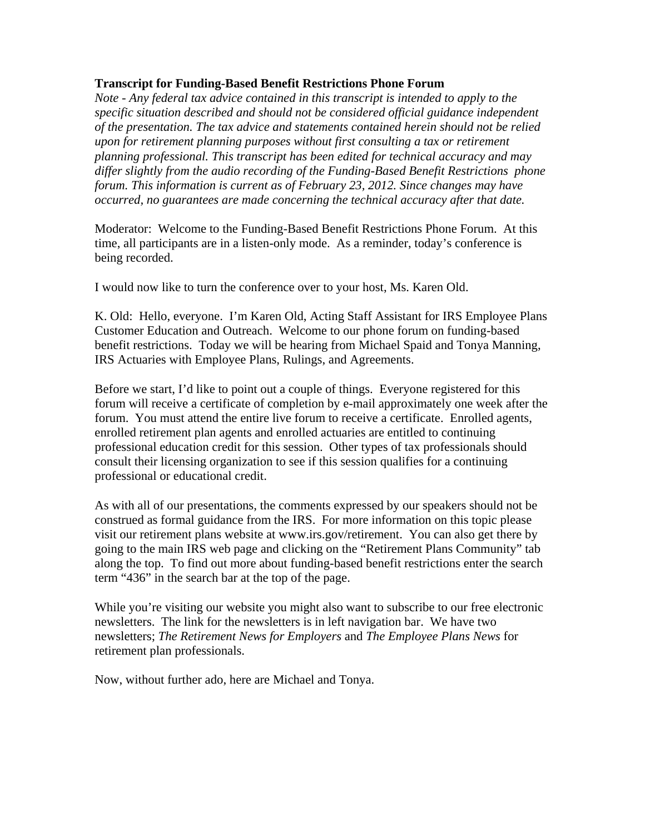## **Transcript for Funding-Based Benefit Restrictions Phone Forum**

*Note - Any federal tax advice contained in this transcript is intended to apply to the specific situation described and should not be considered official guidance independent of the presentation. The tax advice and statements contained herein should not be relied upon for retirement planning purposes without first consulting a tax or retirement planning professional. This transcript has been edited for technical accuracy and may differ slightly from the audio recording of the Funding-Based Benefit Restrictions phone forum. This information is current as of February 23, 2012. Since changes may have occurred, no guarantees are made concerning the technical accuracy after that date.*

Moderator: Welcome to the Funding-Based Benefit Restrictions Phone Forum. At this time, all participants are in a listen-only mode. As a reminder, today's conference is being recorded.

I would now like to turn the conference over to your host, Ms. Karen Old.

K. Old: Hello, everyone. I'm Karen Old, Acting Staff Assistant for IRS Employee Plans Customer Education and Outreach. Welcome to our phone forum on funding-based benefit restrictions. Today we will be hearing from Michael Spaid and Tonya Manning, IRS Actuaries with Employee Plans, Rulings, and Agreements.

Before we start, I'd like to point out a couple of things. Everyone registered for this forum will receive a certificate of completion by e-mail approximately one week after the forum. You must attend the entire live forum to receive a certificate. Enrolled agents, enrolled retirement plan agents and enrolled actuaries are entitled to continuing professional education credit for this session. Other types of tax professionals should consult their licensing organization to see if this session qualifies for a continuing professional or educational credit.

As with all of our presentations, the comments expressed by our speakers should not be construed as formal guidance from the IRS. For more information on this topic please visit our retirement plans website at www.irs.gov/retirement. You can also get there by going to the main IRS web page and clicking on the "Retirement Plans Community" tab along the top. To find out more about funding-based benefit restrictions enter the search term "436" in the search bar at the top of the page.

While you're visiting our website you might also want to subscribe to our free electronic newsletters. The link for the newsletters is in left navigation bar. We have two newsletters; *The Retirement News for Employers* and *The Employee Plans News* for retirement plan professionals.

Now, without further ado, here are Michael and Tonya.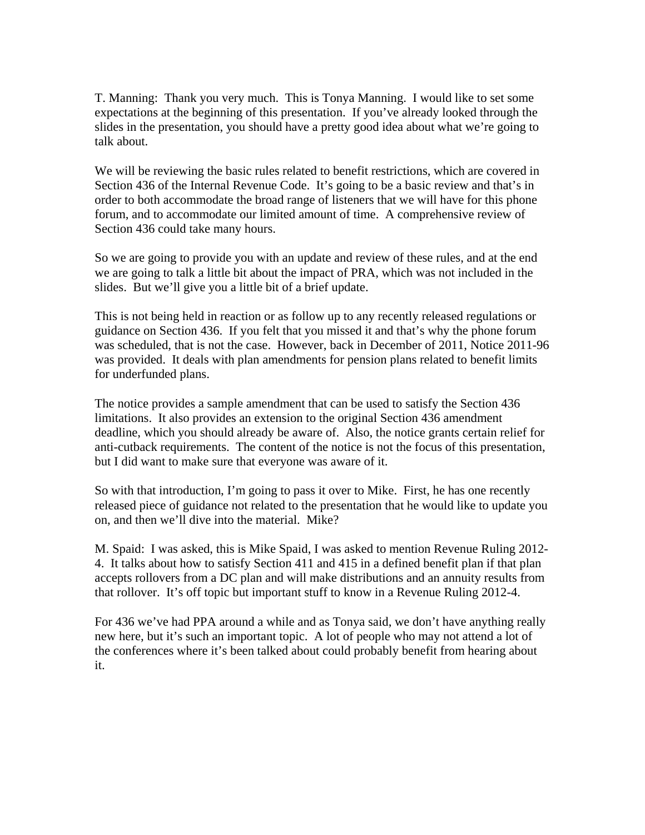T. Manning: Thank you very much. This is Tonya Manning. I would like to set some expectations at the beginning of this presentation. If you've already looked through the slides in the presentation, you should have a pretty good idea about what we're going to talk about.

We will be reviewing the basic rules related to benefit restrictions, which are covered in Section 436 of the Internal Revenue Code. It's going to be a basic review and that's in order to both accommodate the broad range of listeners that we will have for this phone forum, and to accommodate our limited amount of time. A comprehensive review of Section 436 could take many hours.

So we are going to provide you with an update and review of these rules, and at the end we are going to talk a little bit about the impact of PRA, which was not included in the slides. But we'll give you a little bit of a brief update.

This is not being held in reaction or as follow up to any recently released regulations or guidance on Section 436. If you felt that you missed it and that's why the phone forum was scheduled, that is not the case. However, back in December of 2011, Notice 2011-96 was provided. It deals with plan amendments for pension plans related to benefit limits for underfunded plans.

The notice provides a sample amendment that can be used to satisfy the Section 436 limitations. It also provides an extension to the original Section 436 amendment deadline, which you should already be aware of. Also, the notice grants certain relief for anti-cutback requirements. The content of the notice is not the focus of this presentation, but I did want to make sure that everyone was aware of it.

So with that introduction, I'm going to pass it over to Mike. First, he has one recently released piece of guidance not related to the presentation that he would like to update you on, and then we'll dive into the material. Mike?

M. Spaid: I was asked, this is Mike Spaid, I was asked to mention Revenue Ruling 2012- 4. It talks about how to satisfy Section 411 and 415 in a defined benefit plan if that plan accepts rollovers from a DC plan and will make distributions and an annuity results from that rollover. It's off topic but important stuff to know in a Revenue Ruling 2012-4.

For 436 we've had PPA around a while and as Tonya said, we don't have anything really new here, but it's such an important topic. A lot of people who may not attend a lot of the conferences where it's been talked about could probably benefit from hearing about it.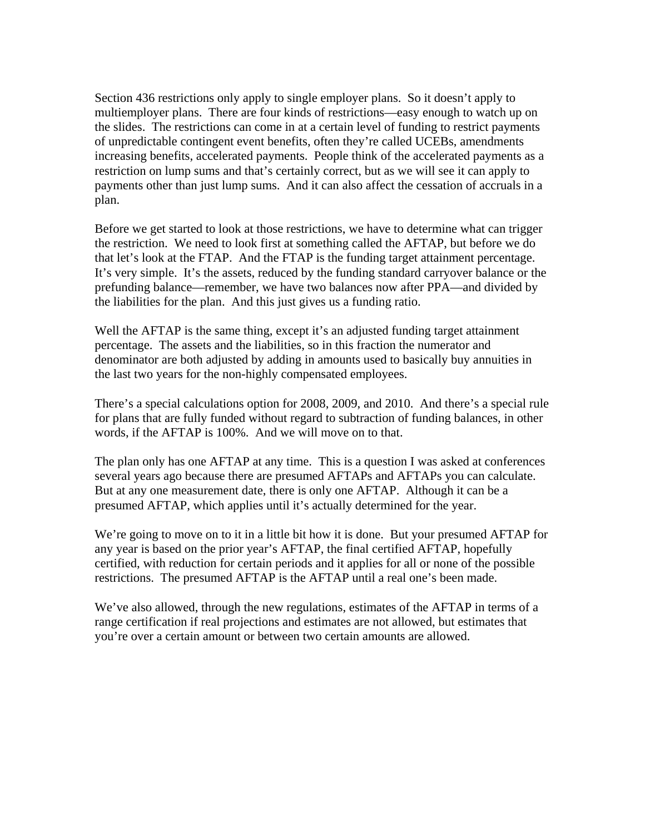Section 436 restrictions only apply to single employer plans. So it doesn't apply to multiemployer plans. There are four kinds of restrictions—easy enough to watch up on the slides. The restrictions can come in at a certain level of funding to restrict payments of unpredictable contingent event benefits, often they're called UCEBs, amendments increasing benefits, accelerated payments. People think of the accelerated payments as a restriction on lump sums and that's certainly correct, but as we will see it can apply to payments other than just lump sums. And it can also affect the cessation of accruals in a plan.

Before we get started to look at those restrictions, we have to determine what can trigger the restriction. We need to look first at something called the AFTAP, but before we do that let's look at the FTAP. And the FTAP is the funding target attainment percentage. It's very simple. It's the assets, reduced by the funding standard carryover balance or the prefunding balance—remember, we have two balances now after PPA—and divided by the liabilities for the plan. And this just gives us a funding ratio.

Well the AFTAP is the same thing, except it's an adjusted funding target attainment percentage. The assets and the liabilities, so in this fraction the numerator and denominator are both adjusted by adding in amounts used to basically buy annuities in the last two years for the non-highly compensated employees.

There's a special calculations option for 2008, 2009, and 2010. And there's a special rule for plans that are fully funded without regard to subtraction of funding balances, in other words, if the AFTAP is 100%. And we will move on to that.

The plan only has one AFTAP at any time. This is a question I was asked at conferences several years ago because there are presumed AFTAPs and AFTAPs you can calculate. But at any one measurement date, there is only one AFTAP. Although it can be a presumed AFTAP, which applies until it's actually determined for the year.

We're going to move on to it in a little bit how it is done. But your presumed AFTAP for any year is based on the prior year's AFTAP, the final certified AFTAP, hopefully certified, with reduction for certain periods and it applies for all or none of the possible restrictions. The presumed AFTAP is the AFTAP until a real one's been made.

We've also allowed, through the new regulations, estimates of the AFTAP in terms of a range certification if real projections and estimates are not allowed, but estimates that you're over a certain amount or between two certain amounts are allowed.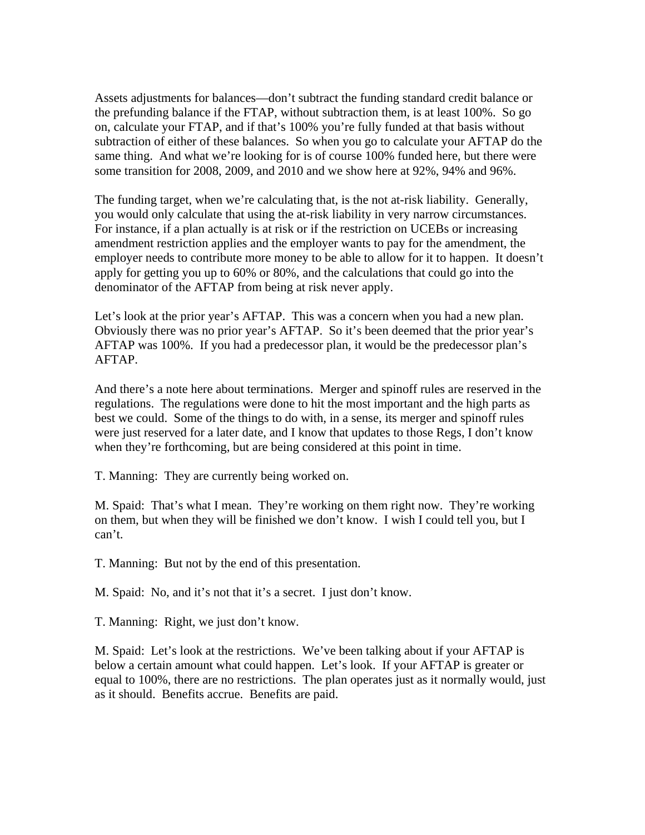Assets adjustments for balances—don't subtract the funding standard credit balance or the prefunding balance if the FTAP, without subtraction them, is at least 100%. So go on, calculate your FTAP, and if that's 100% you're fully funded at that basis without subtraction of either of these balances. So when you go to calculate your AFTAP do the same thing. And what we're looking for is of course 100% funded here, but there were some transition for 2008, 2009, and 2010 and we show here at 92%, 94% and 96%.

The funding target, when we're calculating that, is the not at-risk liability. Generally, you would only calculate that using the at-risk liability in very narrow circumstances. For instance, if a plan actually is at risk or if the restriction on UCEBs or increasing amendment restriction applies and the employer wants to pay for the amendment, the employer needs to contribute more money to be able to allow for it to happen. It doesn't apply for getting you up to 60% or 80%, and the calculations that could go into the denominator of the AFTAP from being at risk never apply.

Let's look at the prior year's AFTAP. This was a concern when you had a new plan. Obviously there was no prior year's AFTAP. So it's been deemed that the prior year's AFTAP was 100%. If you had a predecessor plan, it would be the predecessor plan's AFTAP.

And there's a note here about terminations. Merger and spinoff rules are reserved in the regulations. The regulations were done to hit the most important and the high parts as best we could. Some of the things to do with, in a sense, its merger and spinoff rules were just reserved for a later date, and I know that updates to those Regs, I don't know when they're forthcoming, but are being considered at this point in time.

T. Manning: They are currently being worked on.

M. Spaid: That's what I mean. They're working on them right now. They're working on them, but when they will be finished we don't know. I wish I could tell you, but I can't.

T. Manning: But not by the end of this presentation.

M. Spaid: No, and it's not that it's a secret. I just don't know.

T. Manning: Right, we just don't know.

M. Spaid: Let's look at the restrictions. We've been talking about if your AFTAP is below a certain amount what could happen. Let's look. If your AFTAP is greater or equal to 100%, there are no restrictions. The plan operates just as it normally would, just as it should. Benefits accrue. Benefits are paid.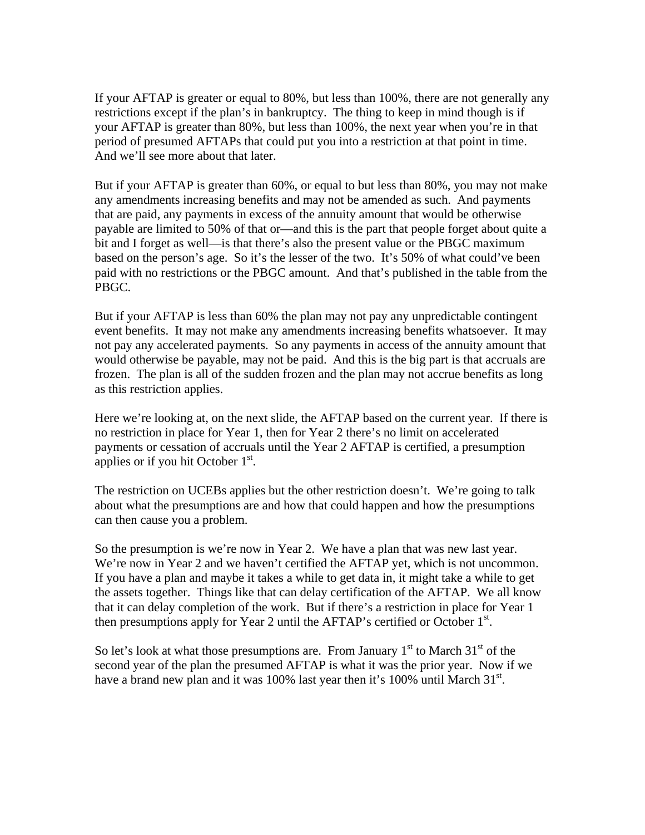If your AFTAP is greater or equal to 80%, but less than 100%, there are not generally any restrictions except if the plan's in bankruptcy. The thing to keep in mind though is if your AFTAP is greater than 80%, but less than 100%, the next year when you're in that period of presumed AFTAPs that could put you into a restriction at that point in time. And we'll see more about that later.

But if your AFTAP is greater than 60%, or equal to but less than 80%, you may not make any amendments increasing benefits and may not be amended as such. And payments that are paid, any payments in excess of the annuity amount that would be otherwise payable are limited to 50% of that or—and this is the part that people forget about quite a bit and I forget as well—is that there's also the present value or the PBGC maximum based on the person's age. So it's the lesser of the two. It's 50% of what could've been paid with no restrictions or the PBGC amount. And that's published in the table from the PBGC.

But if your AFTAP is less than 60% the plan may not pay any unpredictable contingent event benefits. It may not make any amendments increasing benefits whatsoever. It may not pay any accelerated payments. So any payments in access of the annuity amount that would otherwise be payable, may not be paid. And this is the big part is that accruals are frozen. The plan is all of the sudden frozen and the plan may not accrue benefits as long as this restriction applies.

Here we're looking at, on the next slide, the AFTAP based on the current year. If there is no restriction in place for Year 1, then for Year 2 there's no limit on accelerated payments or cessation of accruals until the Year 2 AFTAP is certified, a presumption applies or if you hit October  $1<sup>st</sup>$ .

The restriction on UCEBs applies but the other restriction doesn't. We're going to talk about what the presumptions are and how that could happen and how the presumptions can then cause you a problem.

So the presumption is we're now in Year 2. We have a plan that was new last year. We're now in Year 2 and we haven't certified the AFTAP yet, which is not uncommon. If you have a plan and maybe it takes a while to get data in, it might take a while to get the assets together. Things like that can delay certification of the AFTAP. We all know that it can delay completion of the work. But if there's a restriction in place for Year 1 then presumptions apply for Year 2 until the AFTAP's certified or October  $1<sup>st</sup>$ .

So let's look at what those presumptions are. From January  $1<sup>st</sup>$  to March  $31<sup>st</sup>$  of the second year of the plan the presumed AFTAP is what it was the prior year. Now if we have a brand new plan and it was 100% last year then it's 100% until March  $31^{st}$ .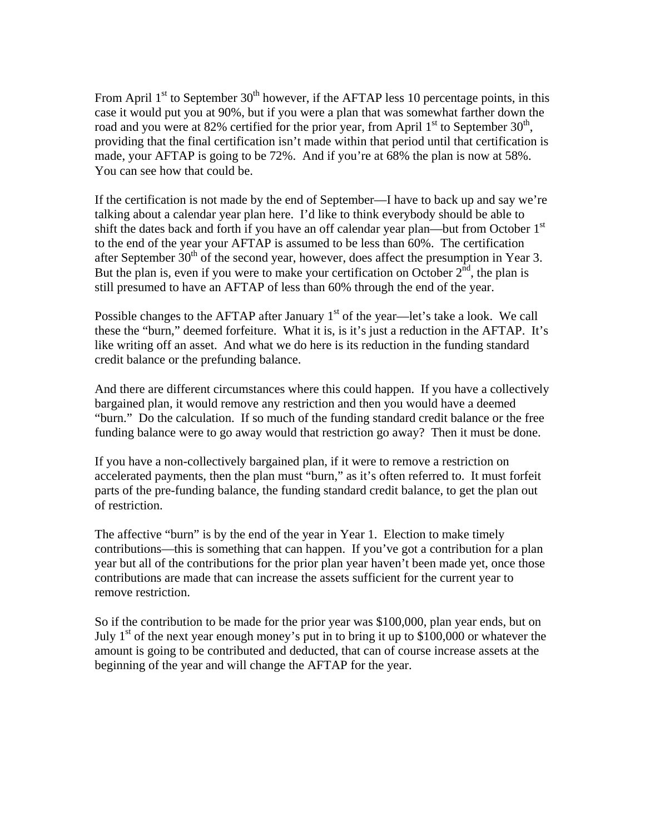From April  $1<sup>st</sup>$  to September 30<sup>th</sup> however, if the AFTAP less 10 percentage points, in this case it would put you at 90%, but if you were a plan that was somewhat farther down the road and you were at 82% certified for the prior year, from April  $1<sup>st</sup>$  to September  $30<sup>th</sup>$ , providing that the final certification isn't made within that period until that certification is made, your AFTAP is going to be 72%. And if you're at 68% the plan is now at 58%. You can see how that could be.

If the certification is not made by the end of September—I have to back up and say we're talking about a calendar year plan here. I'd like to think everybody should be able to shift the dates back and forth if you have an off calendar year plan—but from October  $1<sup>st</sup>$ to the end of the year your AFTAP is assumed to be less than 60%. The certification after September  $30<sup>th</sup>$  of the second year, however, does affect the presumption in Year 3. But the plan is, even if you were to make your certification on October  $2<sup>nd</sup>$ , the plan is still presumed to have an AFTAP of less than 60% through the end of the year.

Possible changes to the AFTAP after January  $1<sup>st</sup>$  of the year—let's take a look. We call these the "burn," deemed forfeiture. What it is, is it's just a reduction in the AFTAP. It's like writing off an asset. And what we do here is its reduction in the funding standard credit balance or the prefunding balance.

And there are different circumstances where this could happen. If you have a collectively bargained plan, it would remove any restriction and then you would have a deemed "burn." Do the calculation. If so much of the funding standard credit balance or the free funding balance were to go away would that restriction go away? Then it must be done.

If you have a non-collectively bargained plan, if it were to remove a restriction on accelerated payments, then the plan must "burn," as it's often referred to. It must forfeit parts of the pre-funding balance, the funding standard credit balance, to get the plan out of restriction.

The affective "burn" is by the end of the year in Year 1. Election to make timely contributions—this is something that can happen. If you've got a contribution for a plan year but all of the contributions for the prior plan year haven't been made yet, once those contributions are made that can increase the assets sufficient for the current year to remove restriction.

So if the contribution to be made for the prior year was \$100,000, plan year ends, but on July  $1<sup>st</sup>$  of the next year enough money's put in to bring it up to \$100,000 or whatever the amount is going to be contributed and deducted, that can of course increase assets at the beginning of the year and will change the AFTAP for the year.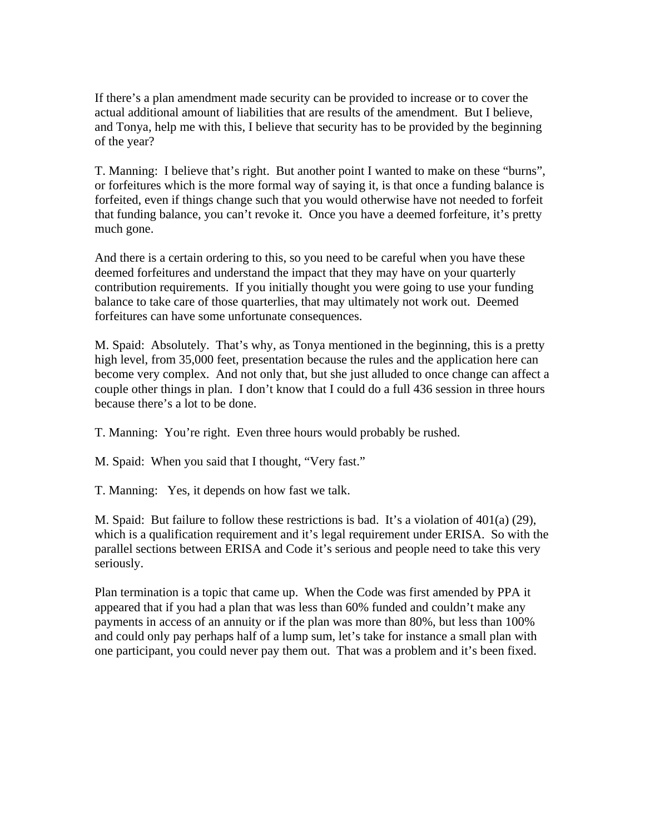If there's a plan amendment made security can be provided to increase or to cover the actual additional amount of liabilities that are results of the amendment. But I believe, and Tonya, help me with this, I believe that security has to be provided by the beginning of the year?

T. Manning: I believe that's right. But another point I wanted to make on these "burns", or forfeitures which is the more formal way of saying it, is that once a funding balance is forfeited, even if things change such that you would otherwise have not needed to forfeit that funding balance, you can't revoke it. Once you have a deemed forfeiture, it's pretty much gone.

And there is a certain ordering to this, so you need to be careful when you have these deemed forfeitures and understand the impact that they may have on your quarterly contribution requirements. If you initially thought you were going to use your funding balance to take care of those quarterlies, that may ultimately not work out. Deemed forfeitures can have some unfortunate consequences.

M. Spaid: Absolutely. That's why, as Tonya mentioned in the beginning, this is a pretty high level, from 35,000 feet, presentation because the rules and the application here can become very complex. And not only that, but she just alluded to once change can affect a couple other things in plan. I don't know that I could do a full 436 session in three hours because there's a lot to be done.

T. Manning: You're right. Even three hours would probably be rushed.

M. Spaid: When you said that I thought, "Very fast."

T. Manning: Yes, it depends on how fast we talk.

M. Spaid: But failure to follow these restrictions is bad. It's a violation of  $401(a)$  (29), which is a qualification requirement and it's legal requirement under ERISA. So with the parallel sections between ERISA and Code it's serious and people need to take this very seriously.

Plan termination is a topic that came up. When the Code was first amended by PPA it appeared that if you had a plan that was less than 60% funded and couldn't make any payments in access of an annuity or if the plan was more than 80%, but less than 100% and could only pay perhaps half of a lump sum, let's take for instance a small plan with one participant, you could never pay them out. That was a problem and it's been fixed.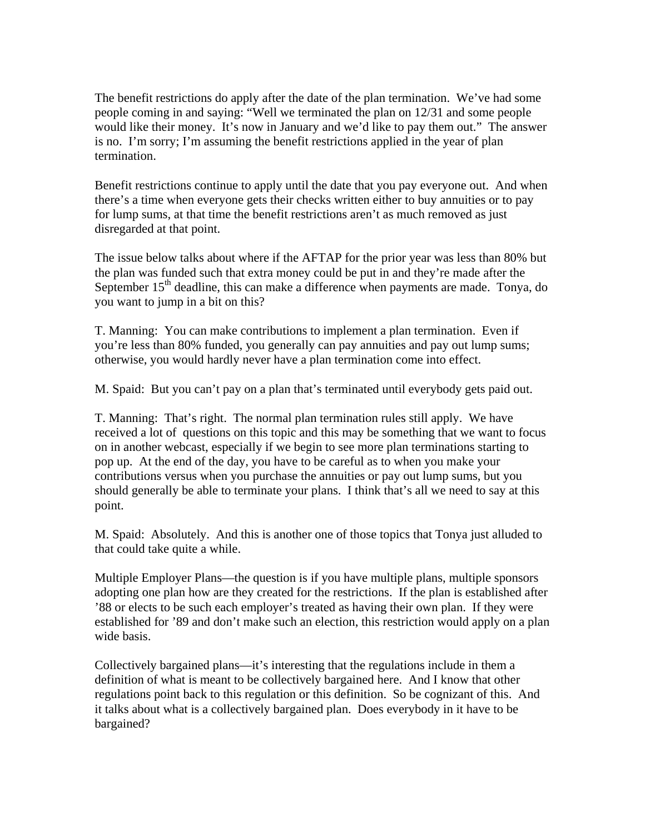The benefit restrictions do apply after the date of the plan termination. We've had some people coming in and saying: "Well we terminated the plan on 12/31 and some people would like their money. It's now in January and we'd like to pay them out." The answer is no. I'm sorry; I'm assuming the benefit restrictions applied in the year of plan termination.

Benefit restrictions continue to apply until the date that you pay everyone out. And when there's a time when everyone gets their checks written either to buy annuities or to pay for lump sums, at that time the benefit restrictions aren't as much removed as just disregarded at that point.

The issue below talks about where if the AFTAP for the prior year was less than 80% but the plan was funded such that extra money could be put in and they're made after the September  $15<sup>th</sup>$  deadline, this can make a difference when payments are made. Tonya, do you want to jump in a bit on this?

T. Manning: You can make contributions to implement a plan termination. Even if you're less than 80% funded, you generally can pay annuities and pay out lump sums; otherwise, you would hardly never have a plan termination come into effect.

M. Spaid: But you can't pay on a plan that's terminated until everybody gets paid out.

T. Manning: That's right. The normal plan termination rules still apply. We have received a lot of questions on this topic and this may be something that we want to focus on in another webcast, especially if we begin to see more plan terminations starting to pop up. At the end of the day, you have to be careful as to when you make your contributions versus when you purchase the annuities or pay out lump sums, but you should generally be able to terminate your plans. I think that's all we need to say at this point.

M. Spaid: Absolutely. And this is another one of those topics that Tonya just alluded to that could take quite a while.

Multiple Employer Plans—the question is if you have multiple plans, multiple sponsors adopting one plan how are they created for the restrictions. If the plan is established after '88 or elects to be such each employer's treated as having their own plan. If they were established for '89 and don't make such an election, this restriction would apply on a plan wide basis.

Collectively bargained plans—it's interesting that the regulations include in them a definition of what is meant to be collectively bargained here. And I know that other regulations point back to this regulation or this definition. So be cognizant of this. And it talks about what is a collectively bargained plan. Does everybody in it have to be bargained?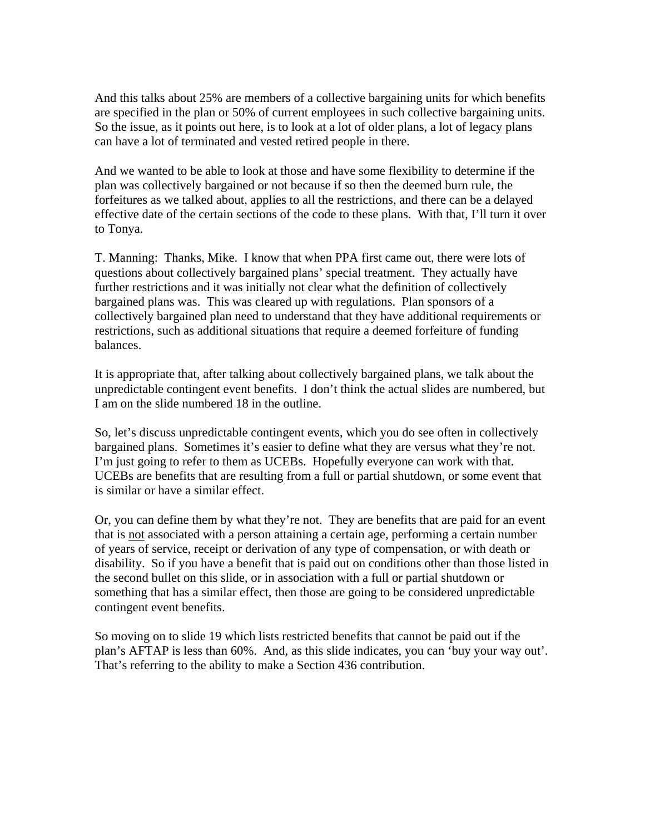And this talks about 25% are members of a collective bargaining units for which benefits are specified in the plan or 50% of current employees in such collective bargaining units. So the issue, as it points out here, is to look at a lot of older plans, a lot of legacy plans can have a lot of terminated and vested retired people in there.

And we wanted to be able to look at those and have some flexibility to determine if the plan was collectively bargained or not because if so then the deemed burn rule, the forfeitures as we talked about, applies to all the restrictions, and there can be a delayed effective date of the certain sections of the code to these plans. With that, I'll turn it over to Tonya.

T. Manning: Thanks, Mike. I know that when PPA first came out, there were lots of questions about collectively bargained plans' special treatment. They actually have further restrictions and it was initially not clear what the definition of collectively bargained plans was. This was cleared up with regulations. Plan sponsors of a collectively bargained plan need to understand that they have additional requirements or restrictions, such as additional situations that require a deemed forfeiture of funding balances.

It is appropriate that, after talking about collectively bargained plans, we talk about the unpredictable contingent event benefits. I don't think the actual slides are numbered, but I am on the slide numbered 18 in the outline.

So, let's discuss unpredictable contingent events, which you do see often in collectively bargained plans. Sometimes it's easier to define what they are versus what they're not. I'm just going to refer to them as UCEBs. Hopefully everyone can work with that. UCEBs are benefits that are resulting from a full or partial shutdown, or some event that is similar or have a similar effect.

Or, you can define them by what they're not. They are benefits that are paid for an event that is not associated with a person attaining a certain age, performing a certain number of years of service, receipt or derivation of any type of compensation, or with death or disability. So if you have a benefit that is paid out on conditions other than those listed in the second bullet on this slide, or in association with a full or partial shutdown or something that has a similar effect, then those are going to be considered unpredictable contingent event benefits.

So moving on to slide 19 which lists restricted benefits that cannot be paid out if the plan's AFTAP is less than 60%. And, as this slide indicates, you can 'buy your way out'. That's referring to the ability to make a Section 436 contribution.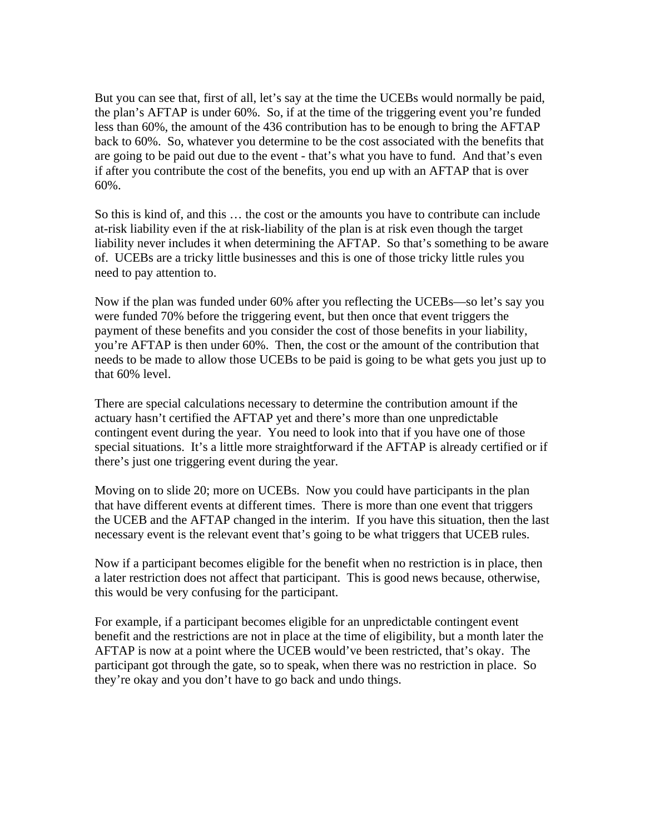But you can see that, first of all, let's say at the time the UCEBs would normally be paid, the plan's AFTAP is under 60%. So, if at the time of the triggering event you're funded less than 60%, the amount of the 436 contribution has to be enough to bring the AFTAP back to 60%. So, whatever you determine to be the cost associated with the benefits that are going to be paid out due to the event - that's what you have to fund. And that's even if after you contribute the cost of the benefits, you end up with an AFTAP that is over 60%.

So this is kind of, and this … the cost or the amounts you have to contribute can include at-risk liability even if the at risk-liability of the plan is at risk even though the target liability never includes it when determining the AFTAP. So that's something to be aware of. UCEBs are a tricky little businesses and this is one of those tricky little rules you need to pay attention to.

Now if the plan was funded under 60% after you reflecting the UCEBs—so let's say you were funded 70% before the triggering event, but then once that event triggers the payment of these benefits and you consider the cost of those benefits in your liability, you're AFTAP is then under 60%. Then, the cost or the amount of the contribution that needs to be made to allow those UCEBs to be paid is going to be what gets you just up to that 60% level.

There are special calculations necessary to determine the contribution amount if the actuary hasn't certified the AFTAP yet and there's more than one unpredictable contingent event during the year. You need to look into that if you have one of those special situations. It's a little more straightforward if the AFTAP is already certified or if there's just one triggering event during the year.

Moving on to slide 20; more on UCEBs. Now you could have participants in the plan that have different events at different times. There is more than one event that triggers the UCEB and the AFTAP changed in the interim. If you have this situation, then the last necessary event is the relevant event that's going to be what triggers that UCEB rules.

Now if a participant becomes eligible for the benefit when no restriction is in place, then a later restriction does not affect that participant. This is good news because, otherwise, this would be very confusing for the participant.

For example, if a participant becomes eligible for an unpredictable contingent event benefit and the restrictions are not in place at the time of eligibility, but a month later the AFTAP is now at a point where the UCEB would've been restricted, that's okay. The participant got through the gate, so to speak, when there was no restriction in place. So they're okay and you don't have to go back and undo things.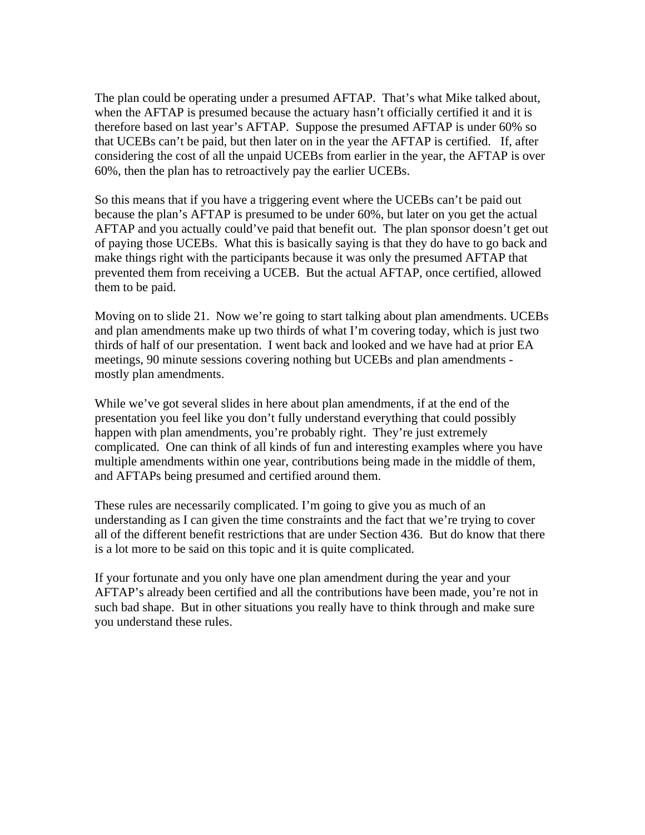The plan could be operating under a presumed AFTAP. That's what Mike talked about, when the AFTAP is presumed because the actuary hasn't officially certified it and it is therefore based on last year's AFTAP. Suppose the presumed AFTAP is under 60% so that UCEBs can't be paid, but then later on in the year the AFTAP is certified. If, after considering the cost of all the unpaid UCEBs from earlier in the year, the AFTAP is over 60%, then the plan has to retroactively pay the earlier UCEBs.

So this means that if you have a triggering event where the UCEBs can't be paid out because the plan's AFTAP is presumed to be under 60%, but later on you get the actual AFTAP and you actually could've paid that benefit out. The plan sponsor doesn't get out of paying those UCEBs. What this is basically saying is that they do have to go back and make things right with the participants because it was only the presumed AFTAP that prevented them from receiving a UCEB. But the actual AFTAP, once certified, allowed them to be paid.

Moving on to slide 21. Now we're going to start talking about plan amendments. UCEBs and plan amendments make up two thirds of what I'm covering today, which is just two thirds of half of our presentation. I went back and looked and we have had at prior EA meetings, 90 minute sessions covering nothing but UCEBs and plan amendments mostly plan amendments.

While we've got several slides in here about plan amendments, if at the end of the presentation you feel like you don't fully understand everything that could possibly happen with plan amendments, you're probably right. They're just extremely complicated. One can think of all kinds of fun and interesting examples where you have multiple amendments within one year, contributions being made in the middle of them, and AFTAPs being presumed and certified around them.

These rules are necessarily complicated. I'm going to give you as much of an understanding as I can given the time constraints and the fact that we're trying to cover all of the different benefit restrictions that are under Section 436. But do know that there is a lot more to be said on this topic and it is quite complicated.

If your fortunate and you only have one plan amendment during the year and your AFTAP's already been certified and all the contributions have been made, you're not in such bad shape. But in other situations you really have to think through and make sure you understand these rules.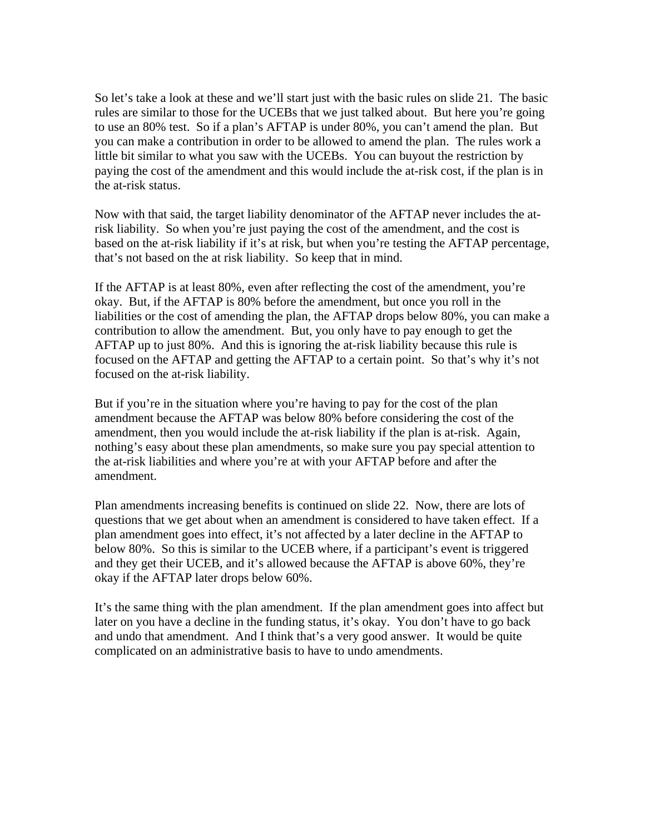So let's take a look at these and we'll start just with the basic rules on slide 21. The basic rules are similar to those for the UCEBs that we just talked about. But here you're going to use an 80% test. So if a plan's AFTAP is under 80%, you can't amend the plan. But you can make a contribution in order to be allowed to amend the plan. The rules work a little bit similar to what you saw with the UCEBs. You can buyout the restriction by paying the cost of the amendment and this would include the at-risk cost, if the plan is in the at-risk status.

Now with that said, the target liability denominator of the AFTAP never includes the atrisk liability. So when you're just paying the cost of the amendment, and the cost is based on the at-risk liability if it's at risk, but when you're testing the AFTAP percentage, that's not based on the at risk liability. So keep that in mind.

If the AFTAP is at least 80%, even after reflecting the cost of the amendment, you're okay. But, if the AFTAP is 80% before the amendment, but once you roll in the liabilities or the cost of amending the plan, the AFTAP drops below 80%, you can make a contribution to allow the amendment. But, you only have to pay enough to get the AFTAP up to just 80%. And this is ignoring the at-risk liability because this rule is focused on the AFTAP and getting the AFTAP to a certain point. So that's why it's not focused on the at-risk liability.

But if you're in the situation where you're having to pay for the cost of the plan amendment because the AFTAP was below 80% before considering the cost of the amendment, then you would include the at-risk liability if the plan is at-risk. Again, nothing's easy about these plan amendments, so make sure you pay special attention to the at-risk liabilities and where you're at with your AFTAP before and after the amendment.

Plan amendments increasing benefits is continued on slide 22. Now, there are lots of questions that we get about when an amendment is considered to have taken effect. If a plan amendment goes into effect, it's not affected by a later decline in the AFTAP to below 80%. So this is similar to the UCEB where, if a participant's event is triggered and they get their UCEB, and it's allowed because the AFTAP is above 60%, they're okay if the AFTAP later drops below 60%.

It's the same thing with the plan amendment. If the plan amendment goes into affect but later on you have a decline in the funding status, it's okay. You don't have to go back and undo that amendment. And I think that's a very good answer. It would be quite complicated on an administrative basis to have to undo amendments.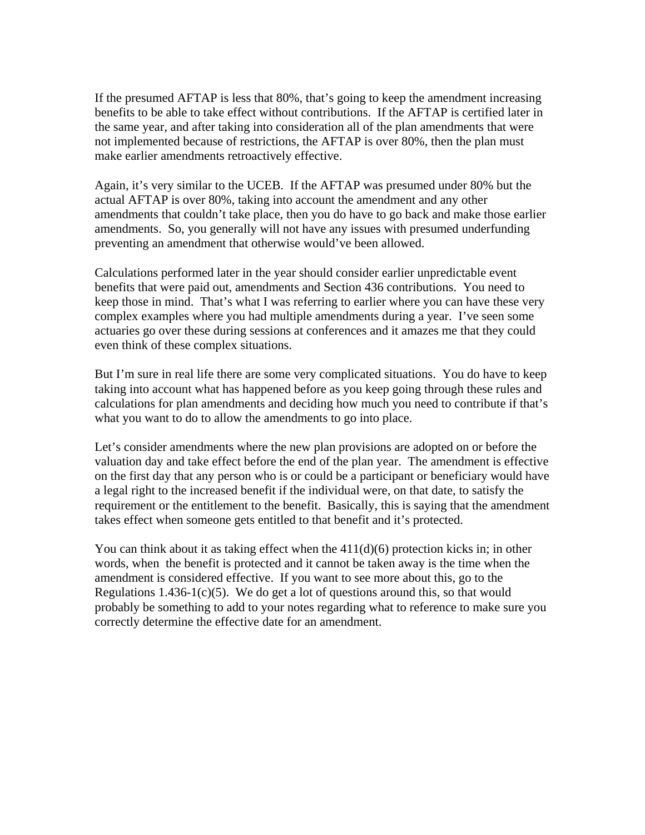If the presumed AFTAP is less that 80%, that's going to keep the amendment increasing benefits to be able to take effect without contributions. If the AFTAP is certified later in the same year, and after taking into consideration all of the plan amendments that were not implemented because of restrictions, the AFTAP is over 80%, then the plan must make earlier amendments retroactively effective.

Again, it's very similar to the UCEB. If the AFTAP was presumed under 80% but the actual AFTAP is over 80%, taking into account the amendment and any other amendments that couldn't take place, then you do have to go back and make those earlier amendments. So, you generally will not have any issues with presumed underfunding preventing an amendment that otherwise would've been allowed.

Calculations performed later in the year should consider earlier unpredictable event benefits that were paid out, amendments and Section 436 contributions. You need to keep those in mind. That's what I was referring to earlier where you can have these very complex examples where you had multiple amendments during a year. I've seen some actuaries go over these during sessions at conferences and it amazes me that they could even think of these complex situations.

But I'm sure in real life there are some very complicated situations. You do have to keep taking into account what has happened before as you keep going through these rules and calculations for plan amendments and deciding how much you need to contribute if that's what you want to do to allow the amendments to go into place.

Let's consider amendments where the new plan provisions are adopted on or before the valuation day and take effect before the end of the plan year. The amendment is effective on the first day that any person who is or could be a participant or beneficiary would have a legal right to the increased benefit if the individual were, on that date, to satisfy the requirement or the entitlement to the benefit. Basically, this is saying that the amendment takes effect when someone gets entitled to that benefit and it's protected.

You can think about it as taking effect when the  $411(d)(6)$  protection kicks in; in other words, when the benefit is protected and it cannot be taken away is the time when the amendment is considered effective. If you want to see more about this, go to the Regulations 1.436-1(c)(5). We do get a lot of questions around this, so that would probably be something to add to your notes regarding what to reference to make sure you correctly determine the effective date for an amendment.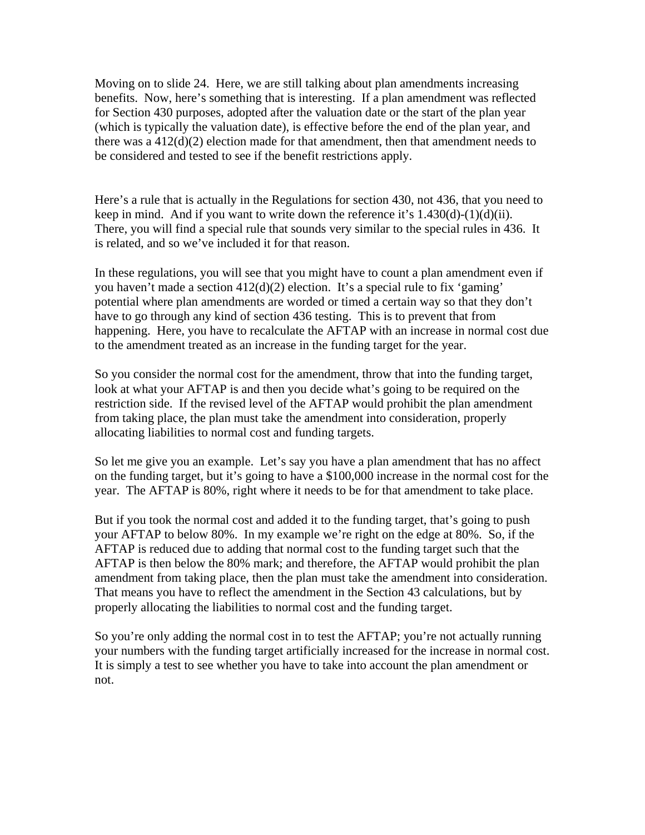Moving on to slide 24. Here, we are still talking about plan amendments increasing benefits. Now, here's something that is interesting. If a plan amendment was reflected for Section 430 purposes, adopted after the valuation date or the start of the plan year (which is typically the valuation date), is effective before the end of the plan year, and there was a 412(d)(2) election made for that amendment, then that amendment needs to be considered and tested to see if the benefit restrictions apply.

Here's a rule that is actually in the Regulations for section 430, not 436, that you need to keep in mind. And if you want to write down the reference it's  $1.430(d)-(1)(d)(ii)$ . There, you will find a special rule that sounds very similar to the special rules in 436. It is related, and so we've included it for that reason.

In these regulations, you will see that you might have to count a plan amendment even if you haven't made a section 412(d)(2) election. It's a special rule to fix 'gaming' potential where plan amendments are worded or timed a certain way so that they don't have to go through any kind of section 436 testing. This is to prevent that from happening. Here, you have to recalculate the AFTAP with an increase in normal cost due to the amendment treated as an increase in the funding target for the year.

So you consider the normal cost for the amendment, throw that into the funding target, look at what your AFTAP is and then you decide what's going to be required on the restriction side. If the revised level of the AFTAP would prohibit the plan amendment from taking place, the plan must take the amendment into consideration, properly allocating liabilities to normal cost and funding targets.

So let me give you an example. Let's say you have a plan amendment that has no affect on the funding target, but it's going to have a \$100,000 increase in the normal cost for the year. The AFTAP is 80%, right where it needs to be for that amendment to take place.

But if you took the normal cost and added it to the funding target, that's going to push your AFTAP to below 80%. In my example we're right on the edge at 80%. So, if the AFTAP is reduced due to adding that normal cost to the funding target such that the AFTAP is then below the 80% mark; and therefore, the AFTAP would prohibit the plan amendment from taking place, then the plan must take the amendment into consideration. That means you have to reflect the amendment in the Section 43 calculations, but by properly allocating the liabilities to normal cost and the funding target.

So you're only adding the normal cost in to test the AFTAP; you're not actually running your numbers with the funding target artificially increased for the increase in normal cost. It is simply a test to see whether you have to take into account the plan amendment or not.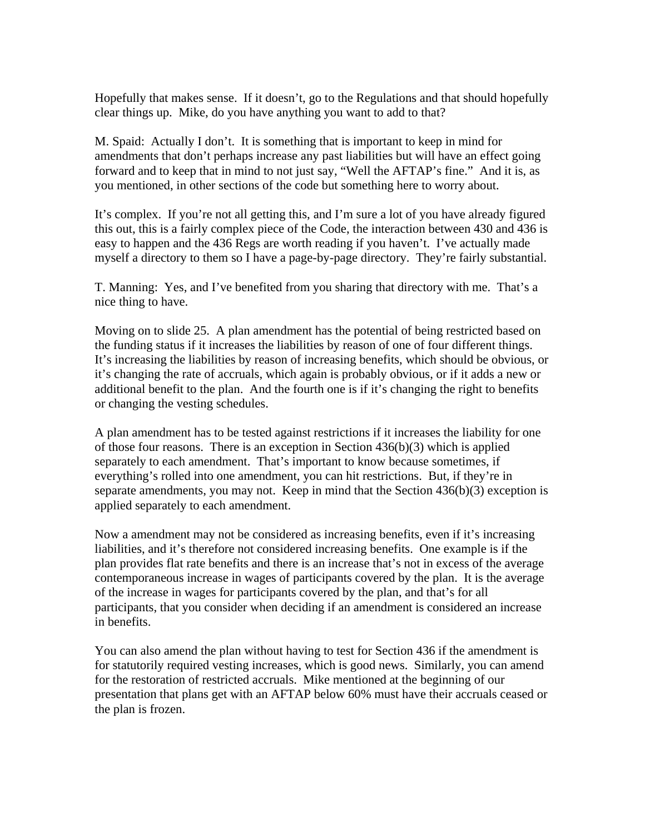Hopefully that makes sense. If it doesn't, go to the Regulations and that should hopefully clear things up. Mike, do you have anything you want to add to that?

M. Spaid: Actually I don't. It is something that is important to keep in mind for amendments that don't perhaps increase any past liabilities but will have an effect going forward and to keep that in mind to not just say, "Well the AFTAP's fine." And it is, as you mentioned, in other sections of the code but something here to worry about.

It's complex. If you're not all getting this, and I'm sure a lot of you have already figured this out, this is a fairly complex piece of the Code, the interaction between 430 and 436 is easy to happen and the 436 Regs are worth reading if you haven't. I've actually made myself a directory to them so I have a page-by-page directory. They're fairly substantial.

T. Manning: Yes, and I've benefited from you sharing that directory with me. That's a nice thing to have.

Moving on to slide 25. A plan amendment has the potential of being restricted based on the funding status if it increases the liabilities by reason of one of four different things. It's increasing the liabilities by reason of increasing benefits, which should be obvious, or it's changing the rate of accruals, which again is probably obvious, or if it adds a new or additional benefit to the plan. And the fourth one is if it's changing the right to benefits or changing the vesting schedules.

A plan amendment has to be tested against restrictions if it increases the liability for one of those four reasons. There is an exception in Section 436(b)(3) which is applied separately to each amendment. That's important to know because sometimes, if everything's rolled into one amendment, you can hit restrictions. But, if they're in separate amendments, you may not. Keep in mind that the Section 436(b)(3) exception is applied separately to each amendment.

Now a amendment may not be considered as increasing benefits, even if it's increasing liabilities, and it's therefore not considered increasing benefits. One example is if the plan provides flat rate benefits and there is an increase that's not in excess of the average contemporaneous increase in wages of participants covered by the plan. It is the average of the increase in wages for participants covered by the plan, and that's for all participants, that you consider when deciding if an amendment is considered an increase in benefits.

You can also amend the plan without having to test for Section 436 if the amendment is for statutorily required vesting increases, which is good news. Similarly, you can amend for the restoration of restricted accruals. Mike mentioned at the beginning of our presentation that plans get with an AFTAP below 60% must have their accruals ceased or the plan is frozen.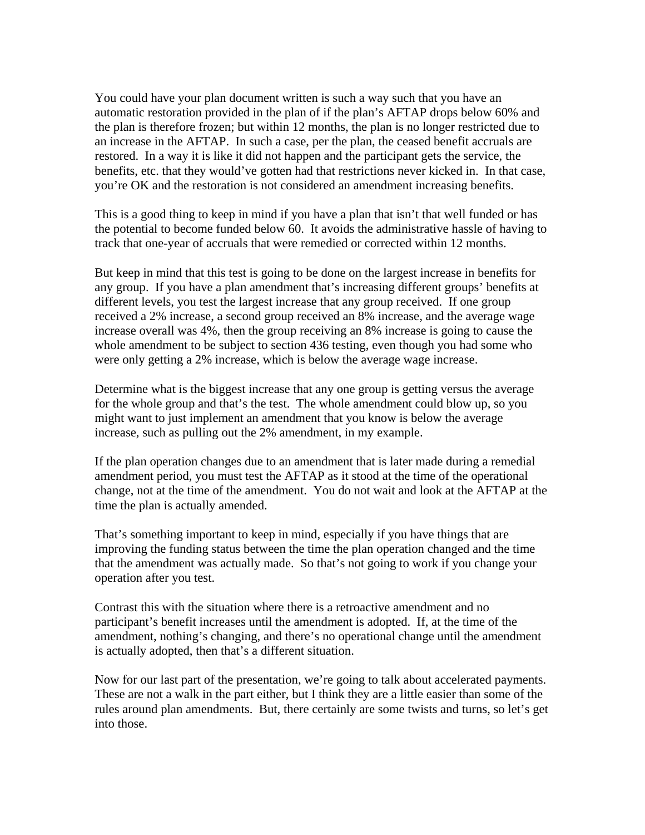You could have your plan document written is such a way such that you have an automatic restoration provided in the plan of if the plan's AFTAP drops below 60% and the plan is therefore frozen; but within 12 months, the plan is no longer restricted due to an increase in the AFTAP. In such a case, per the plan, the ceased benefit accruals are restored. In a way it is like it did not happen and the participant gets the service, the benefits, etc. that they would've gotten had that restrictions never kicked in. In that case, you're OK and the restoration is not considered an amendment increasing benefits.

This is a good thing to keep in mind if you have a plan that isn't that well funded or has the potential to become funded below 60. It avoids the administrative hassle of having to track that one-year of accruals that were remedied or corrected within 12 months.

But keep in mind that this test is going to be done on the largest increase in benefits for any group. If you have a plan amendment that's increasing different groups' benefits at different levels, you test the largest increase that any group received. If one group received a 2% increase, a second group received an 8% increase, and the average wage increase overall was 4%, then the group receiving an 8% increase is going to cause the whole amendment to be subject to section 436 testing, even though you had some who were only getting a 2% increase, which is below the average wage increase.

Determine what is the biggest increase that any one group is getting versus the average for the whole group and that's the test. The whole amendment could blow up, so you might want to just implement an amendment that you know is below the average increase, such as pulling out the 2% amendment, in my example.

If the plan operation changes due to an amendment that is later made during a remedial amendment period, you must test the AFTAP as it stood at the time of the operational change, not at the time of the amendment. You do not wait and look at the AFTAP at the time the plan is actually amended.

That's something important to keep in mind, especially if you have things that are improving the funding status between the time the plan operation changed and the time that the amendment was actually made. So that's not going to work if you change your operation after you test.

Contrast this with the situation where there is a retroactive amendment and no participant's benefit increases until the amendment is adopted. If, at the time of the amendment, nothing's changing, and there's no operational change until the amendment is actually adopted, then that's a different situation.

Now for our last part of the presentation, we're going to talk about accelerated payments. These are not a walk in the part either, but I think they are a little easier than some of the rules around plan amendments. But, there certainly are some twists and turns, so let's get into those.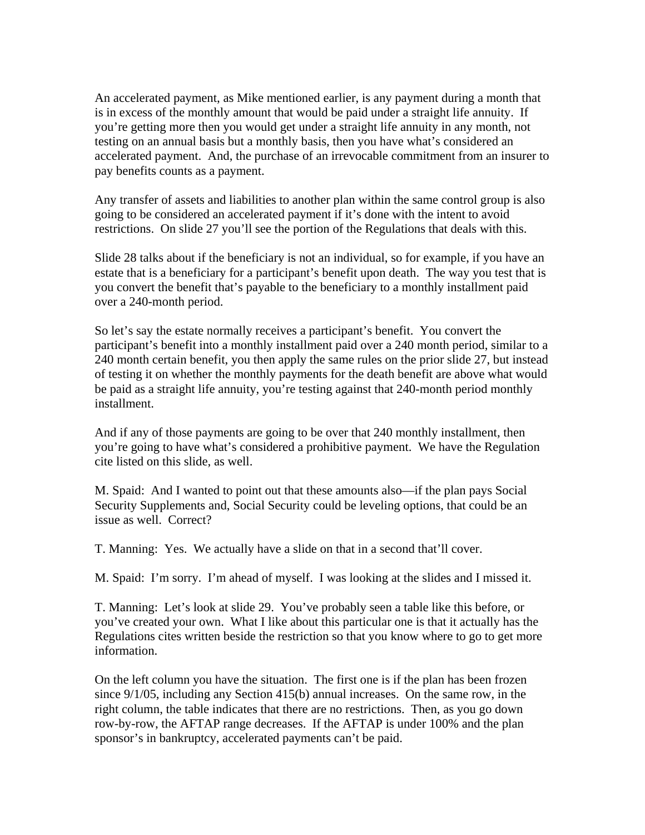An accelerated payment, as Mike mentioned earlier, is any payment during a month that is in excess of the monthly amount that would be paid under a straight life annuity. If you're getting more then you would get under a straight life annuity in any month, not testing on an annual basis but a monthly basis, then you have what's considered an accelerated payment. And, the purchase of an irrevocable commitment from an insurer to pay benefits counts as a payment.

Any transfer of assets and liabilities to another plan within the same control group is also going to be considered an accelerated payment if it's done with the intent to avoid restrictions. On slide 27 you'll see the portion of the Regulations that deals with this.

Slide 28 talks about if the beneficiary is not an individual, so for example, if you have an estate that is a beneficiary for a participant's benefit upon death. The way you test that is you convert the benefit that's payable to the beneficiary to a monthly installment paid over a 240-month period.

So let's say the estate normally receives a participant's benefit. You convert the participant's benefit into a monthly installment paid over a 240 month period, similar to a 240 month certain benefit, you then apply the same rules on the prior slide 27, but instead of testing it on whether the monthly payments for the death benefit are above what would be paid as a straight life annuity, you're testing against that 240-month period monthly installment.

And if any of those payments are going to be over that 240 monthly installment, then you're going to have what's considered a prohibitive payment. We have the Regulation cite listed on this slide, as well.

M. Spaid: And I wanted to point out that these amounts also—if the plan pays Social Security Supplements and, Social Security could be leveling options, that could be an issue as well. Correct?

T. Manning: Yes. We actually have a slide on that in a second that'll cover.

M. Spaid: I'm sorry. I'm ahead of myself. I was looking at the slides and I missed it.

T. Manning: Let's look at slide 29. You've probably seen a table like this before, or you've created your own. What I like about this particular one is that it actually has the Regulations cites written beside the restriction so that you know where to go to get more information.

On the left column you have the situation. The first one is if the plan has been frozen since 9/1/05, including any Section 415(b) annual increases. On the same row, in the right column, the table indicates that there are no restrictions. Then, as you go down row-by-row, the AFTAP range decreases. If the AFTAP is under 100% and the plan sponsor's in bankruptcy, accelerated payments can't be paid.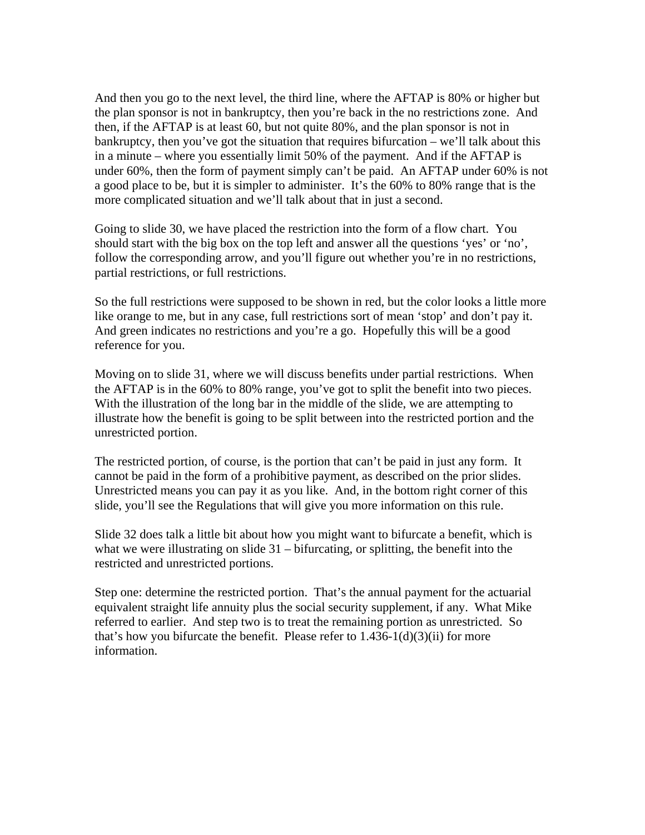And then you go to the next level, the third line, where the AFTAP is 80% or higher but the plan sponsor is not in bankruptcy, then you're back in the no restrictions zone. And then, if the AFTAP is at least 60, but not quite 80%, and the plan sponsor is not in bankruptcy, then you've got the situation that requires bifurcation – we'll talk about this in a minute – where you essentially limit 50% of the payment. And if the AFTAP is under 60%, then the form of payment simply can't be paid. An AFTAP under 60% is not a good place to be, but it is simpler to administer. It's the 60% to 80% range that is the more complicated situation and we'll talk about that in just a second.

Going to slide 30, we have placed the restriction into the form of a flow chart. You should start with the big box on the top left and answer all the questions 'yes' or 'no', follow the corresponding arrow, and you'll figure out whether you're in no restrictions, partial restrictions, or full restrictions.

So the full restrictions were supposed to be shown in red, but the color looks a little more like orange to me, but in any case, full restrictions sort of mean 'stop' and don't pay it. And green indicates no restrictions and you're a go. Hopefully this will be a good reference for you.

Moving on to slide 31, where we will discuss benefits under partial restrictions. When the AFTAP is in the 60% to 80% range, you've got to split the benefit into two pieces. With the illustration of the long bar in the middle of the slide, we are attempting to illustrate how the benefit is going to be split between into the restricted portion and the unrestricted portion.

The restricted portion, of course, is the portion that can't be paid in just any form. It cannot be paid in the form of a prohibitive payment, as described on the prior slides. Unrestricted means you can pay it as you like. And, in the bottom right corner of this slide, you'll see the Regulations that will give you more information on this rule.

Slide 32 does talk a little bit about how you might want to bifurcate a benefit, which is what we were illustrating on slide 31 – bifurcating, or splitting, the benefit into the restricted and unrestricted portions.

Step one: determine the restricted portion. That's the annual payment for the actuarial equivalent straight life annuity plus the social security supplement, if any. What Mike referred to earlier. And step two is to treat the remaining portion as unrestricted. So that's how you bifurcate the benefit. Please refer to  $1.436-1(d)(3)(ii)$  for more information.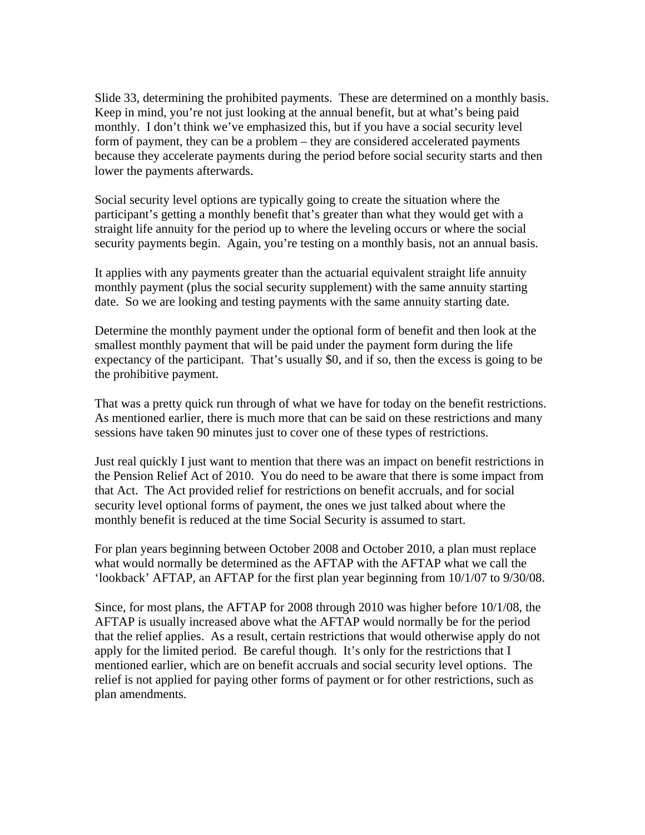Slide 33, determining the prohibited payments. These are determined on a monthly basis. Keep in mind, you're not just looking at the annual benefit, but at what's being paid monthly. I don't think we've emphasized this, but if you have a social security level form of payment, they can be a problem – they are considered accelerated payments because they accelerate payments during the period before social security starts and then lower the payments afterwards.

Social security level options are typically going to create the situation where the participant's getting a monthly benefit that's greater than what they would get with a straight life annuity for the period up to where the leveling occurs or where the social security payments begin. Again, you're testing on a monthly basis, not an annual basis.

It applies with any payments greater than the actuarial equivalent straight life annuity monthly payment (plus the social security supplement) with the same annuity starting date. So we are looking and testing payments with the same annuity starting date.

Determine the monthly payment under the optional form of benefit and then look at the smallest monthly payment that will be paid under the payment form during the life expectancy of the participant. That's usually \$0, and if so, then the excess is going to be the prohibitive payment.

That was a pretty quick run through of what we have for today on the benefit restrictions. As mentioned earlier, there is much more that can be said on these restrictions and many sessions have taken 90 minutes just to cover one of these types of restrictions.

Just real quickly I just want to mention that there was an impact on benefit restrictions in the Pension Relief Act of 2010. You do need to be aware that there is some impact from that Act. The Act provided relief for restrictions on benefit accruals, and for social security level optional forms of payment, the ones we just talked about where the monthly benefit is reduced at the time Social Security is assumed to start.

For plan years beginning between October 2008 and October 2010, a plan must replace what would normally be determined as the AFTAP with the AFTAP what we call the 'lookback' AFTAP, an AFTAP for the first plan year beginning from 10/1/07 to 9/30/08.

Since, for most plans, the AFTAP for 2008 through 2010 was higher before 10/1/08, the AFTAP is usually increased above what the AFTAP would normally be for the period that the relief applies. As a result, certain restrictions that would otherwise apply do not apply for the limited period. Be careful though. It's only for the restrictions that I mentioned earlier, which are on benefit accruals and social security level options. The relief is not applied for paying other forms of payment or for other restrictions, such as plan amendments.